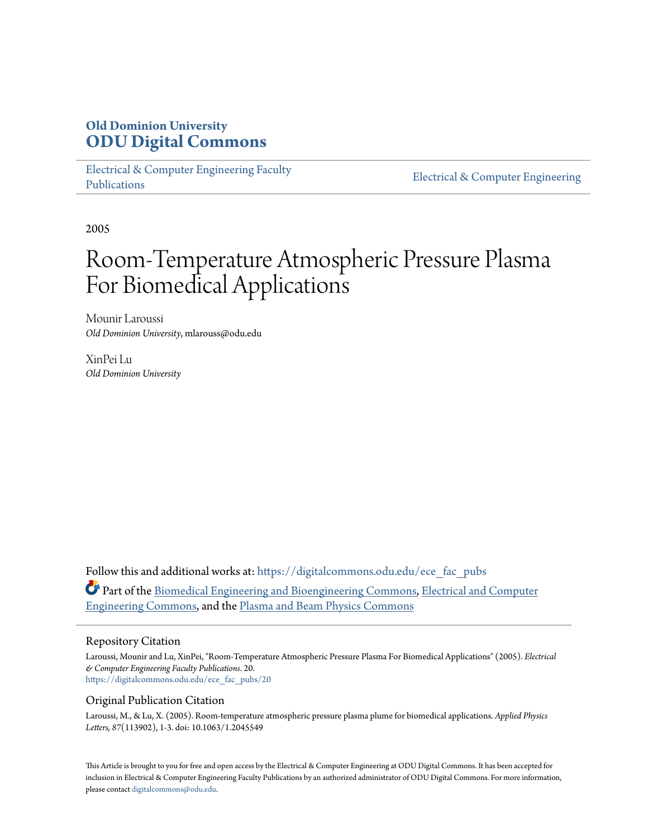## **Old Dominion University [ODU Digital Commons](https://digitalcommons.odu.edu?utm_source=digitalcommons.odu.edu%2Fece_fac_pubs%2F20&utm_medium=PDF&utm_campaign=PDFCoverPages)**

[Electrical & Computer Engineering Faculty](https://digitalcommons.odu.edu/ece_fac_pubs?utm_source=digitalcommons.odu.edu%2Fece_fac_pubs%2F20&utm_medium=PDF&utm_campaign=PDFCoverPages) [Publications](https://digitalcommons.odu.edu/ece_fac_pubs?utm_source=digitalcommons.odu.edu%2Fece_fac_pubs%2F20&utm_medium=PDF&utm_campaign=PDFCoverPages)

[Electrical & Computer Engineering](https://digitalcommons.odu.edu/ece?utm_source=digitalcommons.odu.edu%2Fece_fac_pubs%2F20&utm_medium=PDF&utm_campaign=PDFCoverPages)

2005

# Room-Temperature Atmospheric Pressure Plasma For Biomedical Applications

Mounir Laroussi *Old Dominion University*, mlarouss@odu.edu

XinPei Lu *Old Dominion University*

Follow this and additional works at: [https://digitalcommons.odu.edu/ece\\_fac\\_pubs](https://digitalcommons.odu.edu/ece_fac_pubs?utm_source=digitalcommons.odu.edu%2Fece_fac_pubs%2F20&utm_medium=PDF&utm_campaign=PDFCoverPages) Part of the [Biomedical Engineering and Bioengineering Commons,](http://network.bepress.com/hgg/discipline/229?utm_source=digitalcommons.odu.edu%2Fece_fac_pubs%2F20&utm_medium=PDF&utm_campaign=PDFCoverPages) [Electrical and Computer](http://network.bepress.com/hgg/discipline/266?utm_source=digitalcommons.odu.edu%2Fece_fac_pubs%2F20&utm_medium=PDF&utm_campaign=PDFCoverPages) [Engineering Commons,](http://network.bepress.com/hgg/discipline/266?utm_source=digitalcommons.odu.edu%2Fece_fac_pubs%2F20&utm_medium=PDF&utm_campaign=PDFCoverPages) and the [Plasma and Beam Physics Commons](http://network.bepress.com/hgg/discipline/205?utm_source=digitalcommons.odu.edu%2Fece_fac_pubs%2F20&utm_medium=PDF&utm_campaign=PDFCoverPages)

#### Repository Citation

Laroussi, Mounir and Lu, XinPei, "Room-Temperature Atmospheric Pressure Plasma For Biomedical Applications" (2005). *Electrical & Computer Engineering Faculty Publications*. 20. [https://digitalcommons.odu.edu/ece\\_fac\\_pubs/20](https://digitalcommons.odu.edu/ece_fac_pubs/20?utm_source=digitalcommons.odu.edu%2Fece_fac_pubs%2F20&utm_medium=PDF&utm_campaign=PDFCoverPages)

#### Original Publication Citation

Laroussi, M., & Lu, X. (2005). Room-temperature atmospheric pressure plasma plume for biomedical applications. *Applied Physics Letters, 87*(113902), 1-3. doi: 10.1063/1.2045549

This Article is brought to you for free and open access by the Electrical & Computer Engineering at ODU Digital Commons. It has been accepted for inclusion in Electrical & Computer Engineering Faculty Publications by an authorized administrator of ODU Digital Commons. For more information, please contact [digitalcommons@odu.edu](mailto:digitalcommons@odu.edu).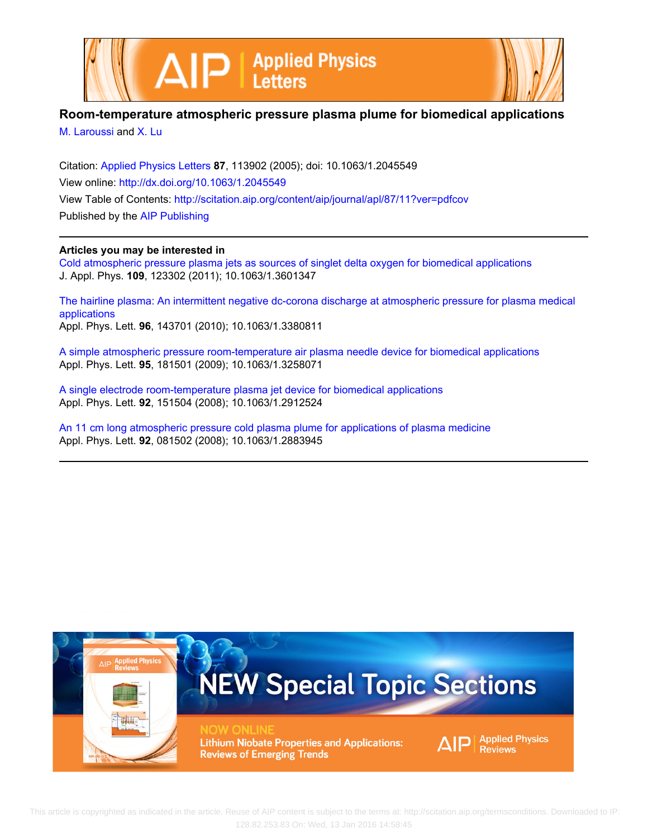



### **Room-temperature atmospheric pressure plasma plume for biomedical applications**

[M. Laroussi](http://scitation.aip.org/search?value1=M.+Laroussi&option1=author) and [X. Lu](http://scitation.aip.org/search?value1=X.+Lu&option1=author)

Citation: [Applied Physics Letters](http://scitation.aip.org/content/aip/journal/apl?ver=pdfcov) **87**, 113902 (2005); doi: 10.1063/1.2045549 View online: <http://dx.doi.org/10.1063/1.2045549> View Table of Contents: <http://scitation.aip.org/content/aip/journal/apl/87/11?ver=pdfcov> Published by the [AIP Publishing](http://scitation.aip.org/content/aip?ver=pdfcov)

#### **Articles you may be interested in**

[Cold atmospheric pressure plasma jets as sources of singlet delta oxygen for biomedical applications](http://scitation.aip.org/content/aip/journal/jap/109/12/10.1063/1.3601347?ver=pdfcov) J. Appl. Phys. **109**, 123302 (2011); 10.1063/1.3601347

[The hairline plasma: An intermittent negative dc-corona discharge at atmospheric pressure for plasma medical](http://scitation.aip.org/content/aip/journal/apl/96/14/10.1063/1.3380811?ver=pdfcov) [applications](http://scitation.aip.org/content/aip/journal/apl/96/14/10.1063/1.3380811?ver=pdfcov) Appl. Phys. Lett. **96**, 143701 (2010); 10.1063/1.3380811

[A simple atmospheric pressure room-temperature air plasma needle device for biomedical applications](http://scitation.aip.org/content/aip/journal/apl/95/18/10.1063/1.3258071?ver=pdfcov) Appl. Phys. Lett. **95**, 181501 (2009); 10.1063/1.3258071

[A single electrode room-temperature plasma jet device for biomedical applications](http://scitation.aip.org/content/aip/journal/apl/92/15/10.1063/1.2912524?ver=pdfcov) Appl. Phys. Lett. **92**, 151504 (2008); 10.1063/1.2912524

[An 11 cm long atmospheric pressure cold plasma plume for applications of plasma medicine](http://scitation.aip.org/content/aip/journal/apl/92/8/10.1063/1.2883945?ver=pdfcov) Appl. Phys. Lett. **92**, 081502 (2008); 10.1063/1.2883945

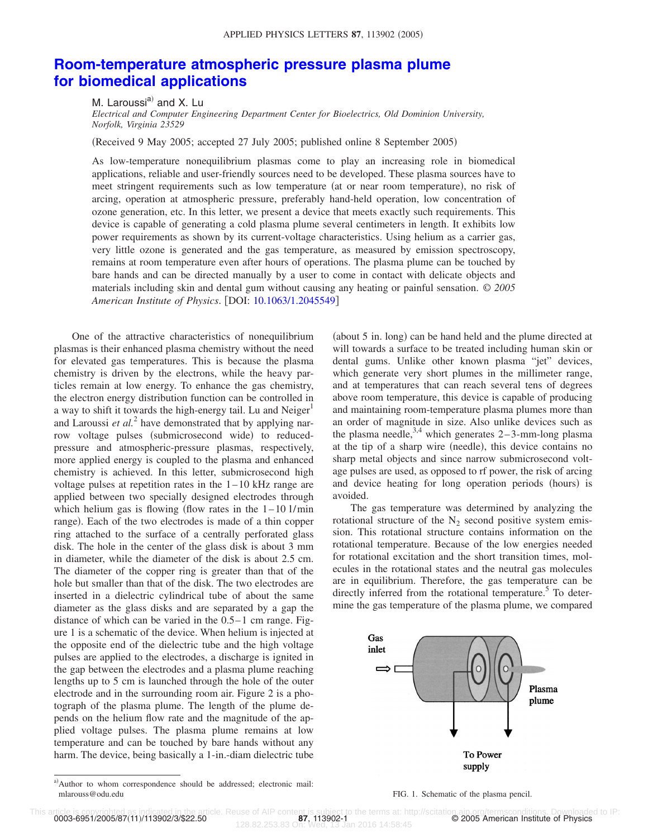## **[Room-temperature atmospheric pressure plasma plume](http://dx.doi.org/10.1063/1.2045549) [for biomedical applications](http://dx.doi.org/10.1063/1.2045549)**

M. Laroussi<sup>a)</sup> and X. Lu *Electrical and Computer Engineering Department Center for Bioelectrics, Old Dominion University, Norfolk, Virginia 23529*

Received 9 May 2005; accepted 27 July 2005; published online 8 September 2005-

As low-temperature nonequilibrium plasmas come to play an increasing role in biomedical applications, reliable and user-friendly sources need to be developed. These plasma sources have to meet stringent requirements such as low temperature (at or near room temperature), no risk of arcing, operation at atmospheric pressure, preferably hand-held operation, low concentration of ozone generation, etc. In this letter, we present a device that meets exactly such requirements. This device is capable of generating a cold plasma plume several centimeters in length. It exhibits low power requirements as shown by its current-voltage characteristics. Using helium as a carrier gas, very little ozone is generated and the gas temperature, as measured by emission spectroscopy, remains at room temperature even after hours of operations. The plasma plume can be touched by bare hands and can be directed manually by a user to come in contact with delicate objects and materials including skin and dental gum without causing any heating or painful sensation. © *2005 American Institute of Physics*. DOI: [10.1063/1.2045549](http://dx.doi.org/10.1063/1.2045549)

One of the attractive characteristics of nonequilibrium plasmas is their enhanced plasma chemistry without the need for elevated gas temperatures. This is because the plasma chemistry is driven by the electrons, while the heavy particles remain at low energy. To enhance the gas chemistry, the electron energy distribution function can be controlled in a way to shift it towards the high-energy tail. Lu and  $Neiger<sup>1</sup>$ and Laroussi *et al.*<sup>2</sup> have demonstrated that by applying narrow voltage pulses (submicrosecond wide) to reducedpressure and atmospheric-pressure plasmas, respectively, more applied energy is coupled to the plasma and enhanced chemistry is achieved. In this letter, submicrosecond high voltage pulses at repetition rates in the  $1-10$  kHz range are applied between two specially designed electrodes through which helium gas is flowing (flow rates in the  $1-10$  l/min range). Each of the two electrodes is made of a thin copper ring attached to the surface of a centrally perforated glass disk. The hole in the center of the glass disk is about 3 mm in diameter, while the diameter of the disk is about 2.5 cm. The diameter of the copper ring is greater than that of the hole but smaller than that of the disk. The two electrodes are inserted in a dielectric cylindrical tube of about the same diameter as the glass disks and are separated by a gap the distance of which can be varied in the 0.5–1 cm range. Figure 1 is a schematic of the device. When helium is injected at the opposite end of the dielectric tube and the high voltage pulses are applied to the electrodes, a discharge is ignited in the gap between the electrodes and a plasma plume reaching lengths up to 5 cm is launched through the hole of the outer electrode and in the surrounding room air. Figure 2 is a photograph of the plasma plume. The length of the plume depends on the helium flow rate and the magnitude of the applied voltage pulses. The plasma plume remains at low temperature and can be touched by bare hands without any harm. The device, being basically a 1-in.-diam dielectric tube

(about 5 in. long) can be hand held and the plume directed at will towards a surface to be treated including human skin or dental gums. Unlike other known plasma "jet" devices, which generate very short plumes in the millimeter range, and at temperatures that can reach several tens of degrees above room temperature, this device is capable of producing and maintaining room-temperature plasma plumes more than an order of magnitude in size. Also unlike devices such as the plasma needle,  $3,4$  which generates 2–3-mm-long plasma at the tip of a sharp wire (needle), this device contains no sharp metal objects and since narrow submicrosecond voltage pulses are used, as opposed to rf power, the risk of arcing and device heating for long operation periods (hours) is avoided.

The gas temperature was determined by analyzing the rotational structure of the  $N_2$  second positive system emission. This rotational structure contains information on the rotational temperature. Because of the low energies needed for rotational excitation and the short transition times, molecules in the rotational states and the neutral gas molecules are in equilibrium. Therefore, the gas temperature can be directly inferred from the rotational temperature.<sup>5</sup> To determine the gas temperature of the plasma plume, we compared



0003-6951/2005/87(11)/113902/3/\$22.50

le. Reuse of AIP content is subject to the terms at: http://scitation.aip.org/termsconditions. Downloaded to IP<br>128.82.253.83.000.108.000.108.14:58:45

a)Author to whom correspondence should be addressed; electronic mail: mlarouss@odu.edu enterprise in the plasma pencil. The plasma pencil enterprise in the plasma pencil.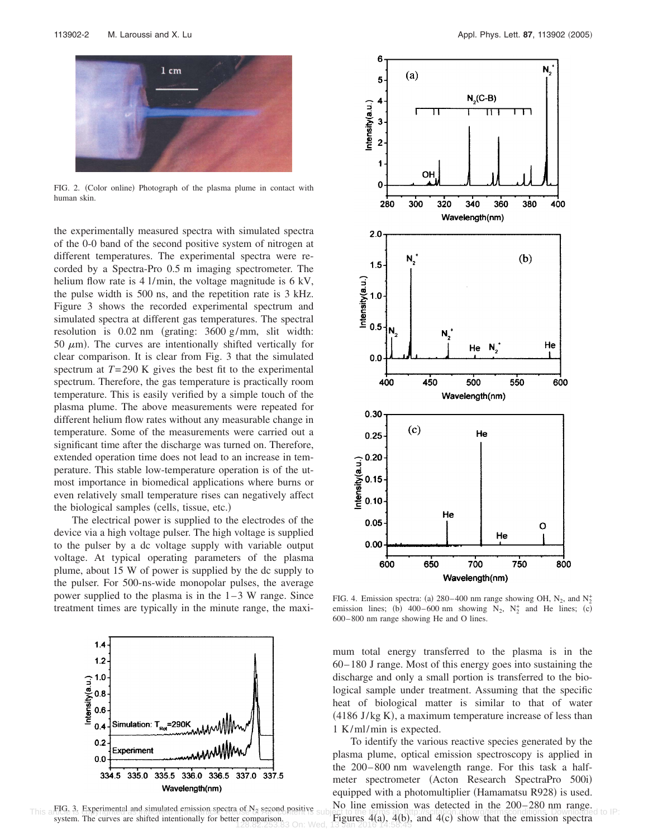

FIG. 2. (Color online) Photograph of the plasma plume in contact with human skin.

the experimentally measured spectra with simulated spectra of the 0-0 band of the second positive system of nitrogen at different temperatures. The experimental spectra were recorded by a Spectra-Pro 0.5 m imaging spectrometer. The helium flow rate is 4 l/min, the voltage magnitude is 6 kV, the pulse width is 500 ns, and the repetition rate is 3 kHz. Figure 3 shows the recorded experimental spectrum and simulated spectra at different gas temperatures. The spectral resolution is  $0.02$  nm (grating:  $3600$  g/mm, slit width: 50  $\mu$ m). The curves are intentionally shifted vertically for clear comparison. It is clear from Fig. 3 that the simulated spectrum at  $T=290$  K gives the best fit to the experimental spectrum. Therefore, the gas temperature is practically room temperature. This is easily verified by a simple touch of the plasma plume. The above measurements were repeated for different helium flow rates without any measurable change in temperature. Some of the measurements were carried out a significant time after the discharge was turned on. Therefore, extended operation time does not lead to an increase in temperature. This stable low-temperature operation is of the utmost importance in biomedical applications where burns or even relatively small temperature rises can negatively affect the biological samples (cells, tissue, etc.)

The electrical power is supplied to the electrodes of the device via a high voltage pulser. The high voltage is supplied to the pulser by a dc voltage supply with variable output voltage. At typical operating parameters of the plasma plume, about 15 W of power is supplied by the dc supply to the pulser. For 500-ns-wide monopolar pulses, the average power supplied to the plasma is in the  $1-3$  W range. Since treatment times are typically in the minute range, the maxi-



This afflue is Experimental and simulated emission spectra of N<sub>a</sub> second positive subject to the termssion was detected in the 200-200 nin range.<br>This affide is Experimental and simulated emission spectra of N<sub>a</sub> second p system. The curves are shifted intentionally for better comparison.



FIG. 4. Emission spectra: (a) 280–400 nm range showing OH,  $N_2$ , and  $N_2^+$ emission lines; (b) 400–600 nm showing  $N_2$ ,  $N_2^+$  and He lines; (c) 600–800 nm range showing He and O lines.

mum total energy transferred to the plasma is in the 60–180 J range. Most of this energy goes into sustaining the discharge and only a small portion is transferred to the biological sample under treatment. Assuming that the specific heat of biological matter is similar to that of water  $(4186$  J/kg K), a maximum temperature increase of less than 1 K/ml/min is expected.

To identify the various reactive species generated by the plasma plume, optical emission spectroscopy is applied in the 200–800 nm wavelength range. For this task a halfmeter spectrometer (Acton Research SpectraPro 500i) equipped with a photomultiplier (Hamamatsu R928) is used. No line emission was detected in the 200–280 nm range. Figures  $4(a)$ ,  $4(b)$ , and  $4(c)$  show that the emission spectra